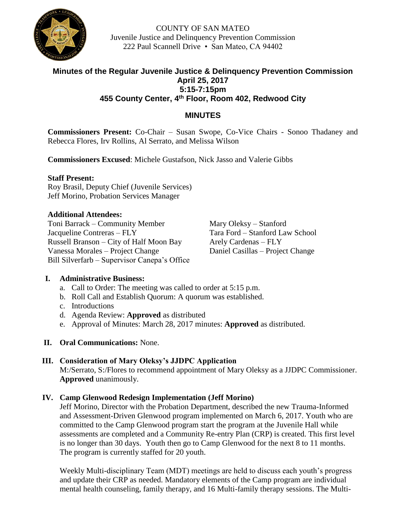

COUNTY OF SAN MATEO Juvenile Justice and Delinquency Prevention Commission 222 Paul Scannell Drive • San Mateo, CA 94402

# **Minutes of the Regular Juvenile Justice & Delinquency Prevention Commission April 25, 2017 5:15-7:15pm 455 County Center, 4 th Floor, Room 402, Redwood City**

# **MINUTES**

**Commissioners Present:** Co-Chair – Susan Swope, Co-Vice Chairs - Sonoo Thadaney and Rebecca Flores, Irv Rollins, Al Serrato, and Melissa Wilson

**Commissioners Excused**: Michele Gustafson, Nick Jasso and Valerie Gibbs

#### **Staff Present:**

Roy Brasil, Deputy Chief (Juvenile Services) Jeff Morino, Probation Services Manager

## **Additional Attendees:**

Toni Barrack – Community Member Mary Oleksy – Stanford Jacqueline Contreras – FLY Tara Ford – Stanford Law School Russell Branson – City of Half Moon Bay Arely Cardenas – FLY Vanessa Morales – Project Change Daniel Casillas – Project Change Bill Silverfarb – Supervisor Canepa's Office

# **I. Administrative Business:**

- a. Call to Order: The meeting was called to order at 5:15 p.m.
- b. Roll Call and Establish Quorum: A quorum was established.
- c. Introductions
- d. Agenda Review: **Approved** as distributed
- e. Approval of Minutes: March 28, 2017 minutes: **Approved** as distributed.
- **II. Oral Communications:** None.

# **III. Consideration of Mary Oleksy's JJDPC Application**

M:/Serrato, S:/Flores to recommend appointment of Mary Oleksy as a JJDPC Commissioner. **Approved** unanimously.

# **IV. Camp Glenwood Redesign Implementation (Jeff Morino)**

Jeff Morino, Director with the Probation Department, described the new Trauma-Informed and Assessment-Driven Glenwood program implemented on March 6, 2017. Youth who are committed to the Camp Glenwood program start the program at the Juvenile Hall while assessments are completed and a Community Re-entry Plan (CRP) is created. This first level is no longer than 30 days. Youth then go to Camp Glenwood for the next 8 to 11 months. The program is currently staffed for 20 youth.

Weekly Multi-disciplinary Team (MDT) meetings are held to discuss each youth's progress and update their CRP as needed. Mandatory elements of the Camp program are individual mental health counseling, family therapy, and 16 Multi-family therapy sessions. The Multi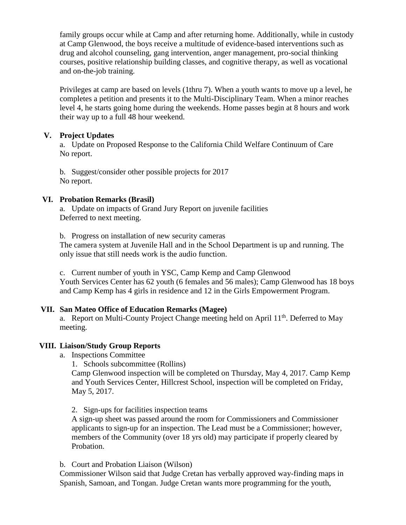family groups occur while at Camp and after returning home. Additionally, while in custody at Camp Glenwood, the boys receive a multitude of evidence-based interventions such as drug and alcohol counseling, gang intervention, anger management, pro-social thinking courses, positive relationship building classes, and cognitive therapy, as well as vocational and on-the-job training.

Privileges at camp are based on levels (1thru 7). When a youth wants to move up a level, he completes a petition and presents it to the Multi-Disciplinary Team. When a minor reaches level 4, he starts going home during the weekends. Home passes begin at 8 hours and work their way up to a full 48 hour weekend.

## **V. Project Updates**

a. Update on Proposed Response to the California Child Welfare Continuum of Care No report.

b. Suggest/consider other possible projects for 2017 No report.

## **VI. Probation Remarks (Brasil)**

a. Update on impacts of Grand Jury Report on juvenile facilities Deferred to next meeting.

b. Progress on installation of new security cameras The camera system at Juvenile Hall and in the School Department is up and running. The only issue that still needs work is the audio function.

c. Current number of youth in YSC, Camp Kemp and Camp Glenwood Youth Services Center has 62 youth (6 females and 56 males); Camp Glenwood has 18 boys and Camp Kemp has 4 girls in residence and 12 in the Girls Empowerment Program.

# **VII. San Mateo Office of Education Remarks (Magee)**

a. Report on Multi-County Project Change meeting held on April 11<sup>th</sup>. Deferred to May meeting.

#### **VIII. Liaison/Study Group Reports**

a. Inspections Committee

1. Schools subcommittee (Rollins)

Camp Glenwood inspection will be completed on Thursday, May 4, 2017. Camp Kemp and Youth Services Center, Hillcrest School, inspection will be completed on Friday, May 5, 2017.

2. Sign-ups for facilities inspection teams

A sign-up sheet was passed around the room for Commissioners and Commissioner applicants to sign-up for an inspection. The Lead must be a Commissioner; however, members of the Community (over 18 yrs old) may participate if properly cleared by Probation.

#### b. Court and Probation Liaison (Wilson)

Commissioner Wilson said that Judge Cretan has verbally approved way-finding maps in Spanish, Samoan, and Tongan. Judge Cretan wants more programming for the youth,